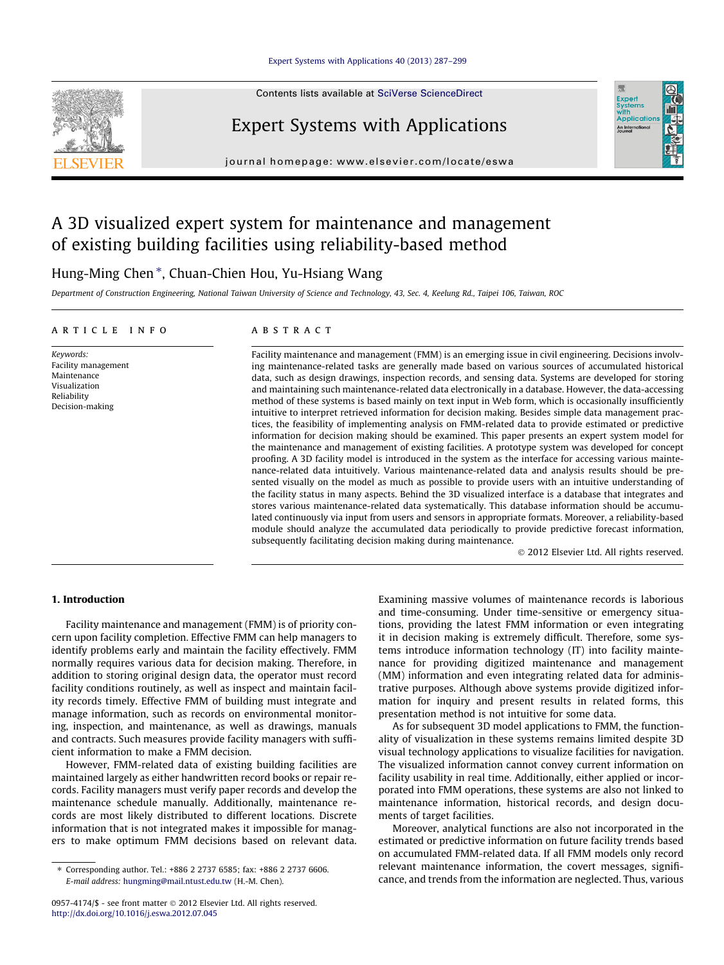#### [Expert Systems with Applications 40 \(2013\) 287–299](http://dx.doi.org/10.1016/j.eswa.2012.07.045)



Contents lists available at [SciVerse ScienceDirect](http://www.sciencedirect.com/science/journal/09574174)

## Expert Systems with Applications

journal homepage: [www.elsevier.com/locate/eswa](http://www.elsevier.com/locate/eswa)

## A 3D visualized expert system for maintenance and management of existing building facilities using reliability-based method

### Hung-Ming Chen<sup>\*</sup>, Chuan-Chien Hou, Yu-Hsiang Wang

Department of Construction Engineering, National Taiwan University of Science and Technology, 43, Sec. 4, Keelung Rd., Taipei 106, Taiwan, ROC

#### article info

Keywords: Facility management Maintenance Visualization Reliability Decision-making

#### **ABSTRACT**

Facility maintenance and management (FMM) is an emerging issue in civil engineering. Decisions involving maintenance-related tasks are generally made based on various sources of accumulated historical data, such as design drawings, inspection records, and sensing data. Systems are developed for storing and maintaining such maintenance-related data electronically in a database. However, the data-accessing method of these systems is based mainly on text input in Web form, which is occasionally insufficiently intuitive to interpret retrieved information for decision making. Besides simple data management practices, the feasibility of implementing analysis on FMM-related data to provide estimated or predictive information for decision making should be examined. This paper presents an expert system model for the maintenance and management of existing facilities. A prototype system was developed for concept proofing. A 3D facility model is introduced in the system as the interface for accessing various maintenance-related data intuitively. Various maintenance-related data and analysis results should be presented visually on the model as much as possible to provide users with an intuitive understanding of the facility status in many aspects. Behind the 3D visualized interface is a database that integrates and stores various maintenance-related data systematically. This database information should be accumulated continuously via input from users and sensors in appropriate formats. Moreover, a reliability-based module should analyze the accumulated data periodically to provide predictive forecast information, subsequently facilitating decision making during maintenance.

- 2012 Elsevier Ltd. All rights reserved.

Expert<br>Syster Applicatio An Interna

#### 1. Introduction

Facility maintenance and management (FMM) is of priority concern upon facility completion. Effective FMM can help managers to identify problems early and maintain the facility effectively. FMM normally requires various data for decision making. Therefore, in addition to storing original design data, the operator must record facility conditions routinely, as well as inspect and maintain facility records timely. Effective FMM of building must integrate and manage information, such as records on environmental monitoring, inspection, and maintenance, as well as drawings, manuals and contracts. Such measures provide facility managers with sufficient information to make a FMM decision.

However, FMM-related data of existing building facilities are maintained largely as either handwritten record books or repair records. Facility managers must verify paper records and develop the maintenance schedule manually. Additionally, maintenance records are most likely distributed to different locations. Discrete information that is not integrated makes it impossible for managers to make optimum FMM decisions based on relevant data. Examining massive volumes of maintenance records is laborious and time-consuming. Under time-sensitive or emergency situations, providing the latest FMM information or even integrating it in decision making is extremely difficult. Therefore, some systems introduce information technology (IT) into facility maintenance for providing digitized maintenance and management (MM) information and even integrating related data for administrative purposes. Although above systems provide digitized information for inquiry and present results in related forms, this presentation method is not intuitive for some data.

As for subsequent 3D model applications to FMM, the functionality of visualization in these systems remains limited despite 3D visual technology applications to visualize facilities for navigation. The visualized information cannot convey current information on facility usability in real time. Additionally, either applied or incorporated into FMM operations, these systems are also not linked to maintenance information, historical records, and design documents of target facilities.

Moreover, analytical functions are also not incorporated in the estimated or predictive information on future facility trends based on accumulated FMM-related data. If all FMM models only record relevant maintenance information, the covert messages, significance, and trends from the information are neglected. Thus, various

<sup>⇑</sup> Corresponding author. Tel.: +886 2 2737 6585; fax: +886 2 2737 6606. E-mail address: [hungming@mail.ntust.edu.tw](mailto:hungming@mail.ntust.edu.tw) (H.-M. Chen).

<sup>0957-4174/\$ -</sup> see front matter © 2012 Elsevier Ltd. All rights reserved. <http://dx.doi.org/10.1016/j.eswa.2012.07.045>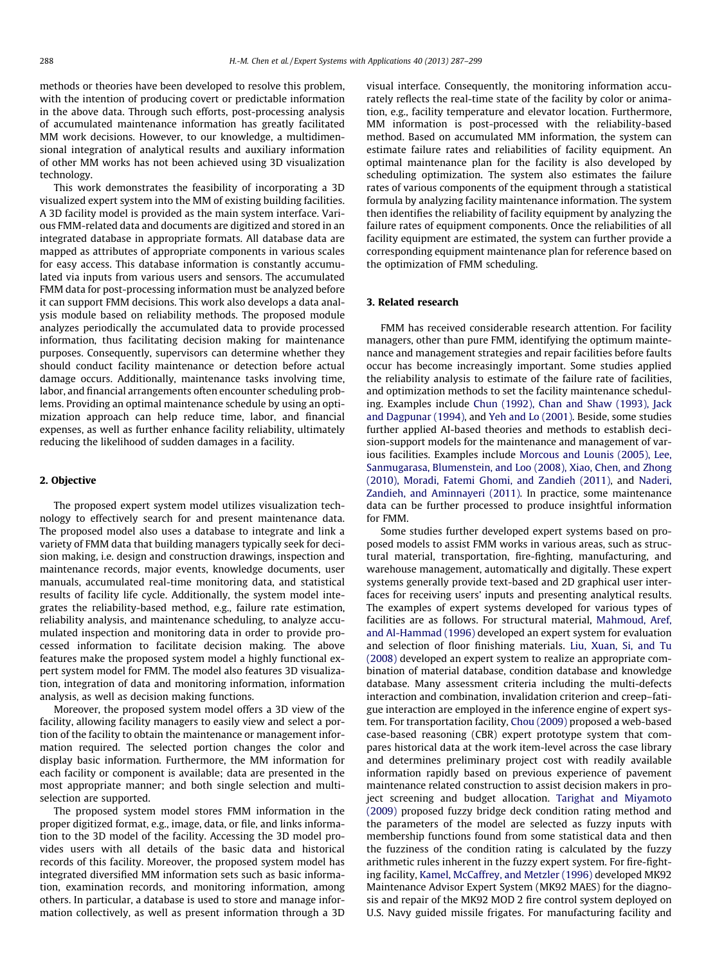methods or theories have been developed to resolve this problem, with the intention of producing covert or predictable information in the above data. Through such efforts, post-processing analysis of accumulated maintenance information has greatly facilitated MM work decisions. However, to our knowledge, a multidimensional integration of analytical results and auxiliary information of other MM works has not been achieved using 3D visualization technology.

This work demonstrates the feasibility of incorporating a 3D visualized expert system into the MM of existing building facilities. A 3D facility model is provided as the main system interface. Various FMM-related data and documents are digitized and stored in an integrated database in appropriate formats. All database data are mapped as attributes of appropriate components in various scales for easy access. This database information is constantly accumulated via inputs from various users and sensors. The accumulated FMM data for post-processing information must be analyzed before it can support FMM decisions. This work also develops a data analysis module based on reliability methods. The proposed module analyzes periodically the accumulated data to provide processed information, thus facilitating decision making for maintenance purposes. Consequently, supervisors can determine whether they should conduct facility maintenance or detection before actual damage occurs. Additionally, maintenance tasks involving time, labor, and financial arrangements often encounter scheduling problems. Providing an optimal maintenance schedule by using an optimization approach can help reduce time, labor, and financial expenses, as well as further enhance facility reliability, ultimately reducing the likelihood of sudden damages in a facility.

#### 2. Objective

The proposed expert system model utilizes visualization technology to effectively search for and present maintenance data. The proposed model also uses a database to integrate and link a variety of FMM data that building managers typically seek for decision making, i.e. design and construction drawings, inspection and maintenance records, major events, knowledge documents, user manuals, accumulated real-time monitoring data, and statistical results of facility life cycle. Additionally, the system model integrates the reliability-based method, e.g., failure rate estimation, reliability analysis, and maintenance scheduling, to analyze accumulated inspection and monitoring data in order to provide processed information to facilitate decision making. The above features make the proposed system model a highly functional expert system model for FMM. The model also features 3D visualization, integration of data and monitoring information, information analysis, as well as decision making functions.

Moreover, the proposed system model offers a 3D view of the facility, allowing facility managers to easily view and select a portion of the facility to obtain the maintenance or management information required. The selected portion changes the color and display basic information. Furthermore, the MM information for each facility or component is available; data are presented in the most appropriate manner; and both single selection and multiselection are supported.

The proposed system model stores FMM information in the proper digitized format, e.g., image, data, or file, and links information to the 3D model of the facility. Accessing the 3D model provides users with all details of the basic data and historical records of this facility. Moreover, the proposed system model has integrated diversified MM information sets such as basic information, examination records, and monitoring information, among others. In particular, a database is used to store and manage information collectively, as well as present information through a 3D visual interface. Consequently, the monitoring information accurately reflects the real-time state of the facility by color or animation, e.g., facility temperature and elevator location. Furthermore, MM information is post-processed with the reliability-based method. Based on accumulated MM information, the system can estimate failure rates and reliabilities of facility equipment. An optimal maintenance plan for the facility is also developed by scheduling optimization. The system also estimates the failure rates of various components of the equipment through a statistical formula by analyzing facility maintenance information. The system then identifies the reliability of facility equipment by analyzing the failure rates of equipment components. Once the reliabilities of all facility equipment are estimated, the system can further provide a corresponding equipment maintenance plan for reference based on the optimization of FMM scheduling.

#### 3. Related research

FMM has received considerable research attention. For facility managers, other than pure FMM, identifying the optimum maintenance and management strategies and repair facilities before faults occur has become increasingly important. Some studies applied the reliability analysis to estimate of the failure rate of facilities, and optimization methods to set the facility maintenance scheduling. Examples include [Chun \(1992\), Chan and Shaw \(1993\), Jack](#page--1-0) [and Dagpunar \(1994\)](#page--1-0), and [Yeh and Lo \(2001\).](#page--1-0) Beside, some studies further applied AI-based theories and methods to establish decision-support models for the maintenance and management of various facilities. Examples include [Morcous and Lounis \(2005\), Lee,](#page--1-0) [Sanmugarasa, Blumenstein, and Loo \(2008\), Xiao, Chen, and Zhong](#page--1-0) [\(2010\), Moradi, Fatemi Ghomi, and Zandieh \(2011\)](#page--1-0), and [Naderi,](#page--1-0) [Zandieh, and Aminnayeri \(2011\).](#page--1-0) In practice, some maintenance data can be further processed to produce insightful information for FMM.

Some studies further developed expert systems based on proposed models to assist FMM works in various areas, such as structural material, transportation, fire-fighting, manufacturing, and warehouse management, automatically and digitally. These expert systems generally provide text-based and 2D graphical user interfaces for receiving users' inputs and presenting analytical results. The examples of expert systems developed for various types of facilities are as follows. For structural material, [Mahmoud, Aref,](#page--1-0) [and Al-Hammad \(1996\)](#page--1-0) developed an expert system for evaluation and selection of floor finishing materials. [Liu, Xuan, Si, and Tu](#page--1-0) [\(2008\)](#page--1-0) developed an expert system to realize an appropriate combination of material database, condition database and knowledge database. Many assessment criteria including the multi-defects interaction and combination, invalidation criterion and creep–fatigue interaction are employed in the inference engine of expert system. For transportation facility, [Chou \(2009\)](#page--1-0) proposed a web-based case-based reasoning (CBR) expert prototype system that compares historical data at the work item-level across the case library and determines preliminary project cost with readily available information rapidly based on previous experience of pavement maintenance related construction to assist decision makers in project screening and budget allocation. [Tarighat and Miyamoto](#page--1-0) [\(2009\)](#page--1-0) proposed fuzzy bridge deck condition rating method and the parameters of the model are selected as fuzzy inputs with membership functions found from some statistical data and then the fuzziness of the condition rating is calculated by the fuzzy arithmetic rules inherent in the fuzzy expert system. For fire-fighting facility, [Kamel, McCaffrey, and Metzler \(1996\)](#page--1-0) developed MK92 Maintenance Advisor Expert System (MK92 MAES) for the diagnosis and repair of the MK92 MOD 2 fire control system deployed on U.S. Navy guided missile frigates. For manufacturing facility and